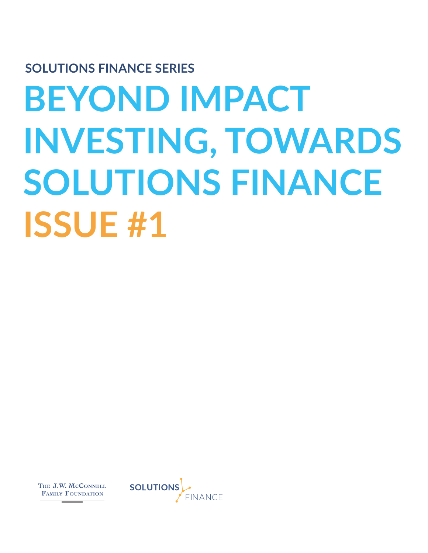# **SOLUTIONS FINANCE SERIES BEYOND IMPACT INVESTING, TOWARDS SOLUTIONS FINANCE ISSUE #1**

THE J.W. MCCONNELL **FAMILY FOUNDATION** \_\_\_

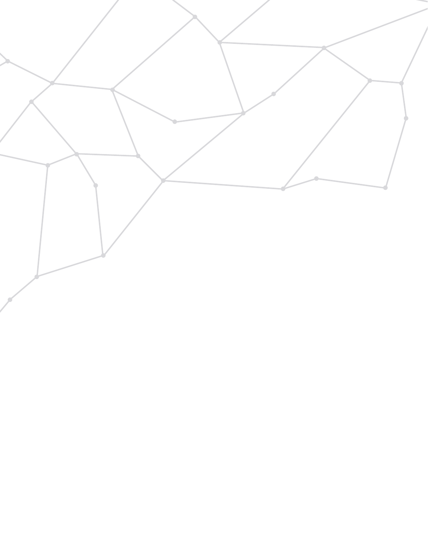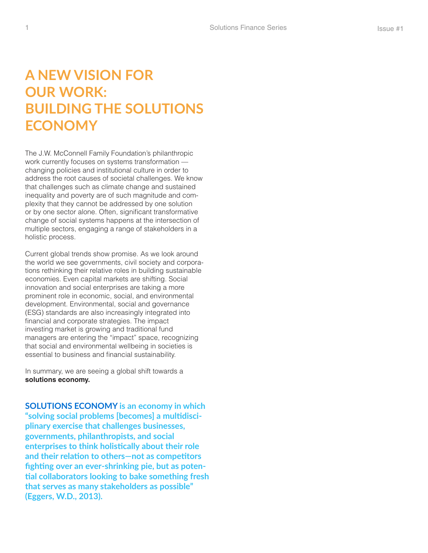# **A NEW VISION FOR OUR WORK: BUILDING THE SOLUTIONS ECONOMY**

The J.W. McConnell Family Foundation's philanthropic work currently focuses on systems transformation changing policies and institutional culture in order to address the root causes of societal challenges. We know that challenges such as climate change and sustained inequality and poverty are of such magnitude and complexity that they cannot be addressed by one solution or by one sector alone. Often, significant transformative change of social systems happens at the intersection of multiple sectors, engaging a range of stakeholders in a holistic process.

Current global trends show promise. As we look around the world we see governments, civil society and corporations rethinking their relative roles in building sustainable economies. Even capital markets are shifting. Social innovation and social enterprises are taking a more prominent role in economic, social, and environmental development. Environmental, social and governance (ESG) standards are also increasingly integrated into financial and corporate strategies. The impact investing market is growing and traditional fund managers are entering the "impact" space, recognizing that social and environmental wellbeing in societies is essential to business and financial sustainability.

In summary, we are seeing a global shift towards a **solutions economy.**

**SOLUTIONS ECONOMY is an economy in which "solving social problems [becomes] a multidisciplinary exercise that challenges businesses, governments, philanthropists, and social enterprises to think holistically about their role and their relation to others—not as competitors fighting over an ever-shrinking pie, but as potential collaborators looking to bake something fresh that serves as many stakeholders as possible" (Eggers, W.D., 2013).**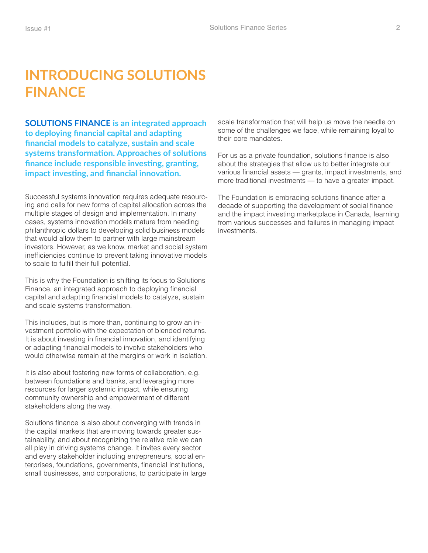# **INTRODUCING SOLUTIONS FINANCE**

**SOLUTIONS FINANCE is an integrated approach to deploying financial capital and adapting financial models to catalyze, sustain and scale systems transformation. Approaches of solutions finance include responsible investing, granting, impact investing, and financial innovation.**

Successful systems innovation requires adequate resourcing and calls for new forms of capital allocation across the multiple stages of design and implementation. In many cases, systems innovation models mature from needing philanthropic dollars to developing solid business models that would allow them to partner with large mainstream investors. However, as we know, market and social system inefficiencies continue to prevent taking innovative models to scale to fulfill their full potential.

This is why the Foundation is shifting its focus to Solutions Finance, an integrated approach to deploying financial capital and adapting financial models to catalyze, sustain and scale systems transformation.

This includes, but is more than, continuing to grow an investment portfolio with the expectation of blended returns. It is about investing in financial innovation, and identifying or adapting financial models to involve stakeholders who would otherwise remain at the margins or work in isolation.

It is also about fostering new forms of collaboration, e.g. between foundations and banks, and leveraging more resources for larger systemic impact, while ensuring community ownership and empowerment of different stakeholders along the way.

Solutions finance is also about converging with trends in the capital markets that are moving towards greater sustainability, and about recognizing the relative role we can all play in driving systems change. It invites every sector and every stakeholder including entrepreneurs, social enterprises, foundations, governments, financial institutions, small businesses, and corporations, to participate in large scale transformation that will help us move the needle on some of the challenges we face, while remaining loyal to their core mandates.

For us as a private foundation, solutions finance is also about the strategies that allow us to better integrate our various financial assets — grants, impact investments, and more traditional investments — to have a greater impact.

The Foundation is embracing solutions finance after a decade of supporting the development of social finance and the impact investing marketplace in Canada, learning from various successes and failures in managing impact investments.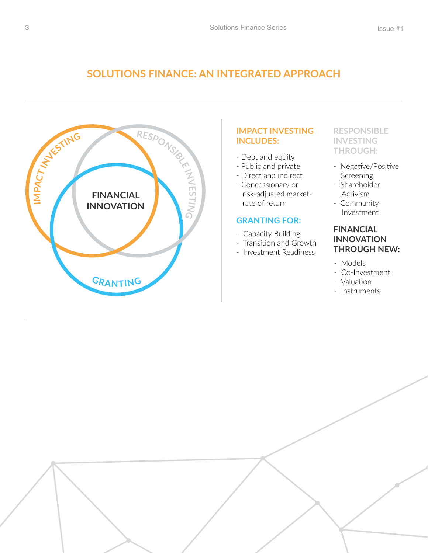### **SOLUTIONS FINANCE: AN INTEGRATED APPROACH**



#### **IMPACT INVESTING INCLUDES:**

- Debt and equity
- Public and private
- Direct and indirect
- Concessionary or rate of return

#### **GRANTING FOR:**

- Capacity Building
- Transition and Growth
- Investment Readiness

#### **RESPONSIBLE INVESTING THROUGH:**

- Negative/Positive **Screening**
- Shareholder Activism
- Community Investment

#### **FINANCIAL INNOVATION THROUGH NEW:**

- Models
- Co-Investment
- Valuation
- Instruments

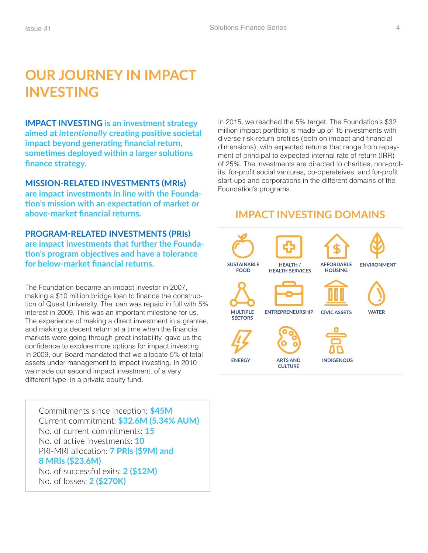# **OUR JOURNEY IN IMPACT INVESTING**

**IMPACT INVESTING is an investment strategy aimed at** *intentionally* **creating positive societal impact beyond generating financial return, sometimes deployed within a larger solutions finance strategy.**

**MISSION-RELATED INVESTMENTS (MRIs)** 

**are impact investments in line with the Foundation's mission with an expectation of market or above-market financial returns.**

**PROGRAM-RELATED INVESTMENTS (PRIs) are impact investments that further the Foundation's program objectives and have a tolerance for below-market financial returns.**

The Foundation became an impact investor in 2007, making a \$10 million bridge loan to finance the construction of Quest University. The loan was repaid in full with 5% interest in 2009. This was an important milestone for us. The experience of making a direct investment in a grantee, and making a decent return at a time when the financial markets were going through great instability, gave us the confidence to explore more options for impact investing. In 2009, our Board mandated that we allocate 5% of total assets under management to impact investing. In 2010 we made our second impact investment, of a very different type, in a private equity fund.

Commitments since inception: **\$45M** Current commitment: **\$32.6M (5.34% AUM)** No. of current commitments: **15** No. of active investments: **10**  PRI-MRI allocation: **7 PRIs (\$9M) and 8 MRIs (\$23.6M)** No. of successful exits: **2 (\$12M)** No. of losses: **2 (\$270K)**

In 2015, we reached the 5% target. The Foundation's \$32 million impact portfolio is made up of 15 investments with diverse risk-return profiles (both on impact and financial dimensions), with expected returns that range from repayment of principal to expected internal rate of return (IRR) of 25%. The investments are directed to charities, non-profits, for-profit social ventures, co-operateives, and for-profit start-ups and corporations in the different domains of the Foundation's programs.

#### **IMPACT INVESTING DOMAINS**

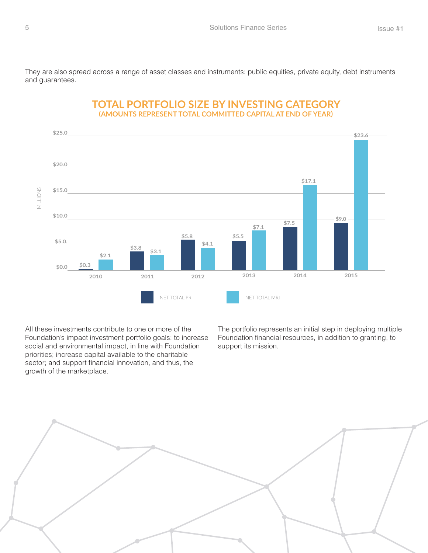They are also spread across a range of asset classes and instruments: public equities, private equity, debt instruments and guarantees.

#### **TOTAL PORTFOLIO SIZE BY INVESTING CATEGORY (AMOUNTS REPRESENT TOTAL COMMITTED CAPITAL AT END OF YEAR)**



All these investments contribute to one or more of the Foundation's impact investment portfolio goals: to increase social and environmental impact, in line with Foundation priorities; increase capital available to the charitable sector; and support financial innovation, and thus, the growth of the marketplace.

The portfolio represents an initial step in deploying multiple Foundation financial resources, in addition to granting, to support its mission.